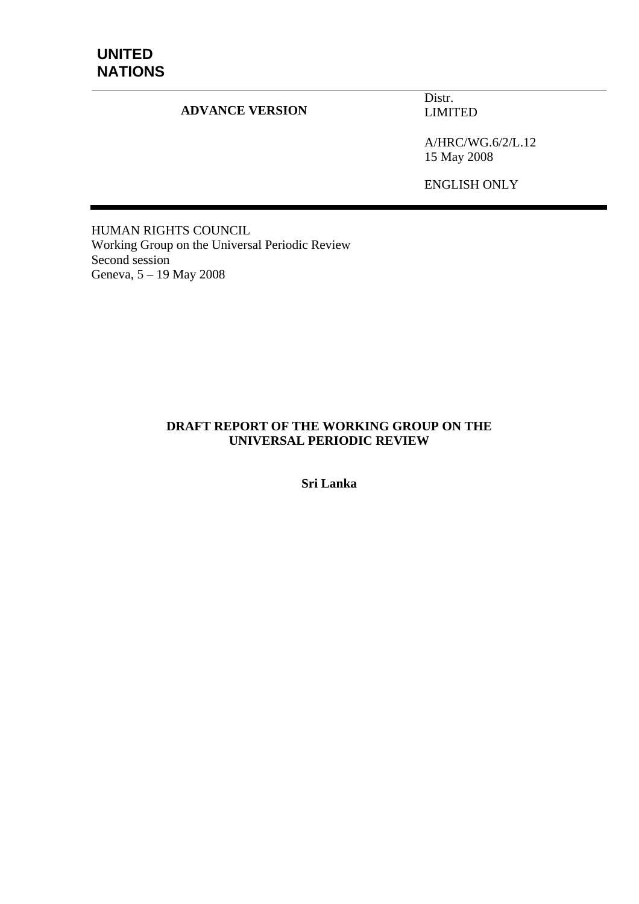# **UNITED NATIONS**

#### **ADVANCE VERSION**

Distr. LIMITED

A/HRC/WG.6/2/L.12 15 May 2008

ENGLISH ONLY

HUMAN RIGHTS COUNCIL Working Group on the Universal Periodic Review Second session Geneva, 5 – 19 May 2008

#### **DRAFT REPORT OF THE WORKING GROUP ON THE UNIVERSAL PERIODIC REVIEW**

**Sri Lanka**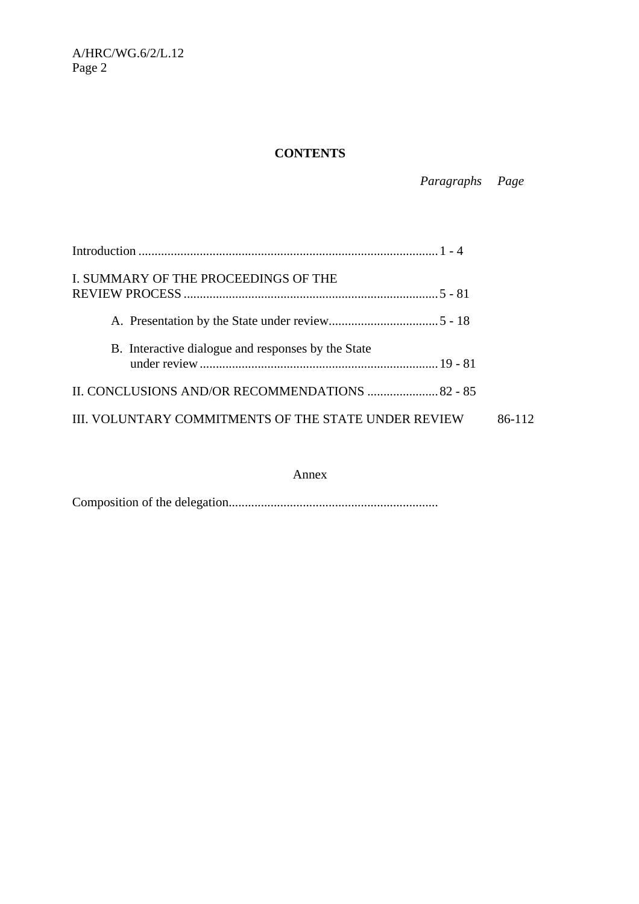# **CONTENTS**

# *Paragraphs Page*

| I. SUMMARY OF THE PROCEEDINGS OF THE                 |        |  |
|------------------------------------------------------|--------|--|
|                                                      |        |  |
| B. Interactive dialogue and responses by the State   |        |  |
| II. CONCLUSIONS AND/OR RECOMMENDATIONS  82 - 85      | 86-112 |  |
| III. VOLUNTARY COMMITMENTS OF THE STATE UNDER REVIEW |        |  |

#### Annex

Composition of the delegation.................................................................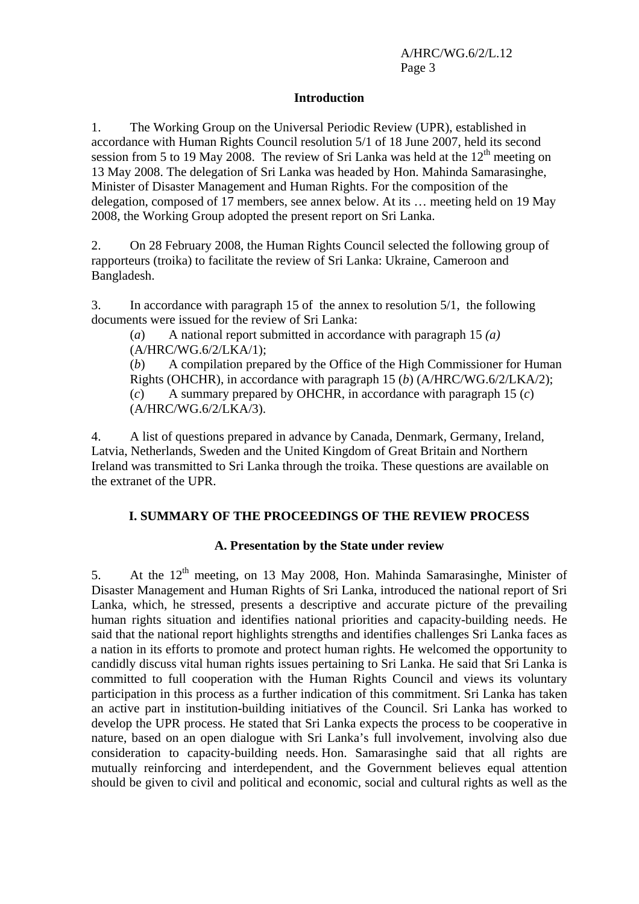#### **Introduction**

1. The Working Group on the Universal Periodic Review (UPR), established in accordance with Human Rights Council resolution 5/1 of 18 June 2007, held its second session from 5 to 19 May 2008. The review of Sri Lanka was held at the  $12<sup>th</sup>$  meeting on 13 May 2008. The delegation of Sri Lanka was headed by Hon. Mahinda Samarasinghe, Minister of Disaster Management and Human Rights. For the composition of the delegation, composed of 17 members, see annex below. At its … meeting held on 19 May 2008, the Working Group adopted the present report on Sri Lanka.

2. On 28 February 2008, the Human Rights Council selected the following group of rapporteurs (troika) to facilitate the review of Sri Lanka: Ukraine, Cameroon and Bangladesh.

3. In accordance with paragraph 15 of the annex to resolution 5/1, the following documents were issued for the review of Sri Lanka:

(*a*) A national report submitted in accordance with paragraph 15 *(a)* (A/HRC/WG.6/2/LKA/1);

(*b*) A compilation prepared by the Office of the High Commissioner for Human Rights (OHCHR), in accordance with paragraph 15 (*b*) (A/HRC/WG.6/2/LKA/2); (*c*) A summary prepared by OHCHR, in accordance with paragraph 15 (*c*) (A/HRC/WG.6/2/LKA/3).

4. A list of questions prepared in advance by Canada, Denmark, Germany, Ireland, Latvia, Netherlands, Sweden and the United Kingdom of Great Britain and Northern Ireland was transmitted to Sri Lanka through the troika. These questions are available on the extranet of the UPR.

### **I. SUMMARY OF THE PROCEEDINGS OF THE REVIEW PROCESS**

### **A. Presentation by the State under review**

5. At the  $12<sup>th</sup>$  meeting, on 13 May 2008, Hon. Mahinda Samarasinghe, Minister of Disaster Management and Human Rights of Sri Lanka, introduced the national report of Sri Lanka, which, he stressed, presents a descriptive and accurate picture of the prevailing human rights situation and identifies national priorities and capacity-building needs. He said that the national report highlights strengths and identifies challenges Sri Lanka faces as a nation in its efforts to promote and protect human rights. He welcomed the opportunity to candidly discuss vital human rights issues pertaining to Sri Lanka. He said that Sri Lanka is committed to full cooperation with the Human Rights Council and views its voluntary participation in this process as a further indication of this commitment. Sri Lanka has taken an active part in institution-building initiatives of the Council. Sri Lanka has worked to develop the UPR process. He stated that Sri Lanka expects the process to be cooperative in nature, based on an open dialogue with Sri Lanka's full involvement, involving also due consideration to capacity-building needs. Hon. Samarasinghe said that all rights are mutually reinforcing and interdependent, and the Government believes equal attention should be given to civil and political and economic, social and cultural rights as well as the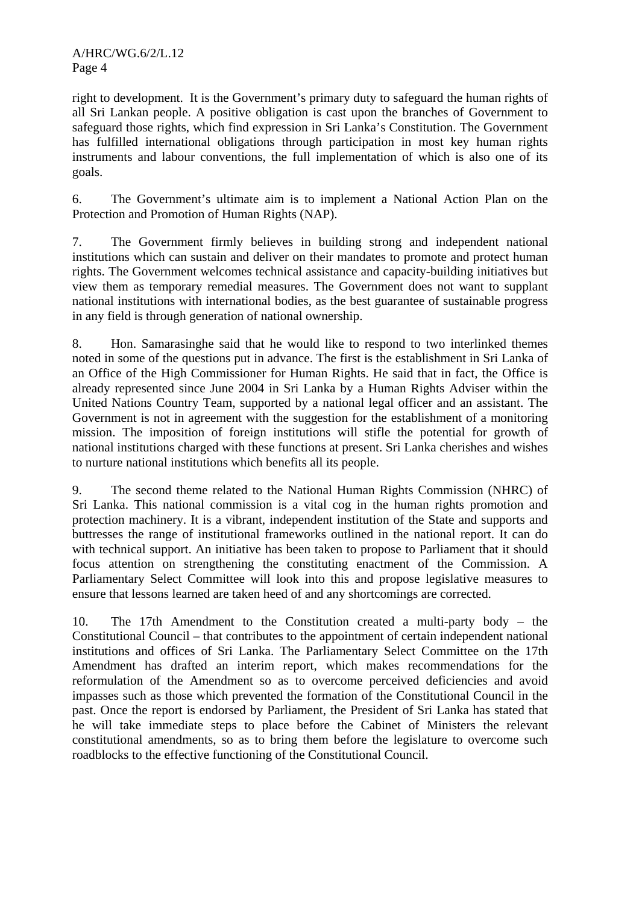right to development. It is the Government's primary duty to safeguard the human rights of all Sri Lankan people. A positive obligation is cast upon the branches of Government to safeguard those rights, which find expression in Sri Lanka's Constitution. The Government has fulfilled international obligations through participation in most key human rights instruments and labour conventions, the full implementation of which is also one of its goals.

6. The Government's ultimate aim is to implement a National Action Plan on the Protection and Promotion of Human Rights (NAP).

7. The Government firmly believes in building strong and independent national institutions which can sustain and deliver on their mandates to promote and protect human rights. The Government welcomes technical assistance and capacity-building initiatives but view them as temporary remedial measures. The Government does not want to supplant national institutions with international bodies, as the best guarantee of sustainable progress in any field is through generation of national ownership.

8. Hon. Samarasinghe said that he would like to respond to two interlinked themes noted in some of the questions put in advance. The first is the establishment in Sri Lanka of an Office of the High Commissioner for Human Rights. He said that in fact, the Office is already represented since June 2004 in Sri Lanka by a Human Rights Adviser within the United Nations Country Team, supported by a national legal officer and an assistant. The Government is not in agreement with the suggestion for the establishment of a monitoring mission. The imposition of foreign institutions will stifle the potential for growth of national institutions charged with these functions at present. Sri Lanka cherishes and wishes to nurture national institutions which benefits all its people.

9. The second theme related to the National Human Rights Commission (NHRC) of Sri Lanka. This national commission is a vital cog in the human rights promotion and protection machinery. It is a vibrant, independent institution of the State and supports and buttresses the range of institutional frameworks outlined in the national report. It can do with technical support. An initiative has been taken to propose to Parliament that it should focus attention on strengthening the constituting enactment of the Commission. A Parliamentary Select Committee will look into this and propose legislative measures to ensure that lessons learned are taken heed of and any shortcomings are corrected.

10. The 17th Amendment to the Constitution created a multi-party body – the Constitutional Council – that contributes to the appointment of certain independent national institutions and offices of Sri Lanka. The Parliamentary Select Committee on the 17th Amendment has drafted an interim report, which makes recommendations for the reformulation of the Amendment so as to overcome perceived deficiencies and avoid impasses such as those which prevented the formation of the Constitutional Council in the past. Once the report is endorsed by Parliament, the President of Sri Lanka has stated that he will take immediate steps to place before the Cabinet of Ministers the relevant constitutional amendments, so as to bring them before the legislature to overcome such roadblocks to the effective functioning of the Constitutional Council.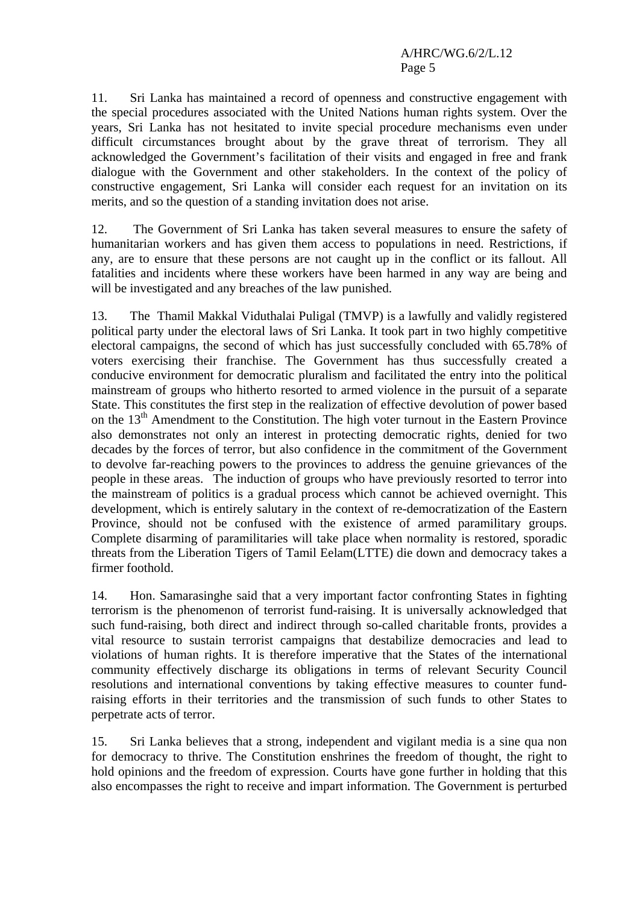11. Sri Lanka has maintained a record of openness and constructive engagement with the special procedures associated with the United Nations human rights system. Over the years, Sri Lanka has not hesitated to invite special procedure mechanisms even under difficult circumstances brought about by the grave threat of terrorism. They all acknowledged the Government's facilitation of their visits and engaged in free and frank dialogue with the Government and other stakeholders. In the context of the policy of constructive engagement, Sri Lanka will consider each request for an invitation on its merits, and so the question of a standing invitation does not arise.

12. The Government of Sri Lanka has taken several measures to ensure the safety of humanitarian workers and has given them access to populations in need. Restrictions, if any, are to ensure that these persons are not caught up in the conflict or its fallout. All fatalities and incidents where these workers have been harmed in any way are being and will be investigated and any breaches of the law punished.

13. The Thamil Makkal Viduthalai Puligal (TMVP) is a lawfully and validly registered political party under the electoral laws of Sri Lanka. It took part in two highly competitive electoral campaigns, the second of which has just successfully concluded with 65.78% of voters exercising their franchise. The Government has thus successfully created a conducive environment for democratic pluralism and facilitated the entry into the political mainstream of groups who hitherto resorted to armed violence in the pursuit of a separate State. This constitutes the first step in the realization of effective devolution of power based on the  $13<sup>th</sup>$  Amendment to the Constitution. The high voter turnout in the Eastern Province also demonstrates not only an interest in protecting democratic rights, denied for two decades by the forces of terror, but also confidence in the commitment of the Government to devolve far-reaching powers to the provinces to address the genuine grievances of the people in these areas. The induction of groups who have previously resorted to terror into the mainstream of politics is a gradual process which cannot be achieved overnight. This development, which is entirely salutary in the context of re-democratization of the Eastern Province, should not be confused with the existence of armed paramilitary groups. Complete disarming of paramilitaries will take place when normality is restored, sporadic threats from the Liberation Tigers of Tamil Eelam(LTTE) die down and democracy takes a firmer foothold.

14. Hon. Samarasinghe said that a very important factor confronting States in fighting terrorism is the phenomenon of terrorist fund-raising. It is universally acknowledged that such fund-raising, both direct and indirect through so-called charitable fronts, provides a vital resource to sustain terrorist campaigns that destabilize democracies and lead to violations of human rights. It is therefore imperative that the States of the international community effectively discharge its obligations in terms of relevant Security Council resolutions and international conventions by taking effective measures to counter fundraising efforts in their territories and the transmission of such funds to other States to perpetrate acts of terror.

15. Sri Lanka believes that a strong, independent and vigilant media is a sine qua non for democracy to thrive. The Constitution enshrines the freedom of thought, the right to hold opinions and the freedom of expression. Courts have gone further in holding that this also encompasses the right to receive and impart information. The Government is perturbed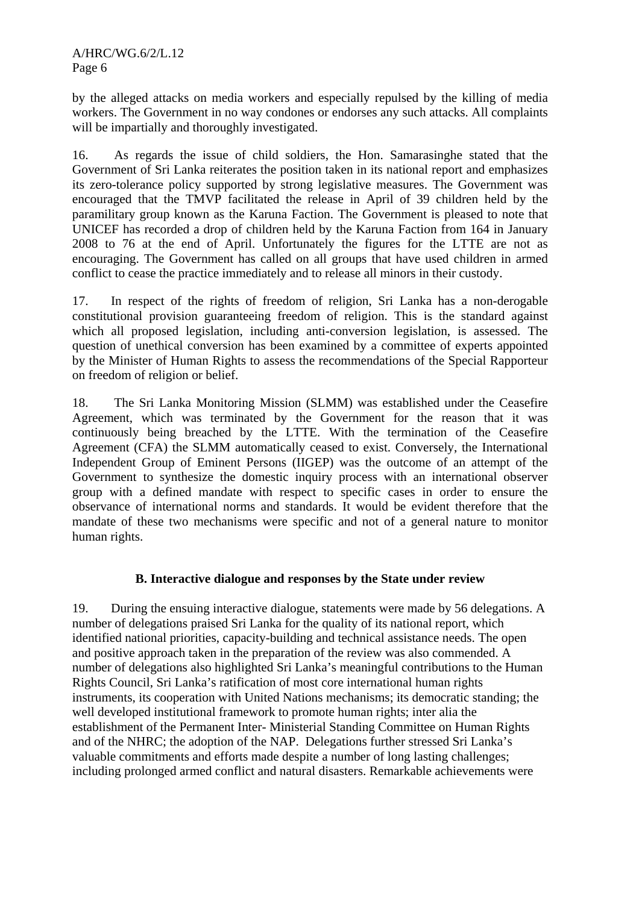by the alleged attacks on media workers and especially repulsed by the killing of media workers. The Government in no way condones or endorses any such attacks. All complaints will be impartially and thoroughly investigated.

16. As regards the issue of child soldiers, the Hon. Samarasinghe stated that the Government of Sri Lanka reiterates the position taken in its national report and emphasizes its zero-tolerance policy supported by strong legislative measures. The Government was encouraged that the TMVP facilitated the release in April of 39 children held by the paramilitary group known as the Karuna Faction. The Government is pleased to note that UNICEF has recorded a drop of children held by the Karuna Faction from 164 in January 2008 to 76 at the end of April. Unfortunately the figures for the LTTE are not as encouraging. The Government has called on all groups that have used children in armed conflict to cease the practice immediately and to release all minors in their custody.

17. In respect of the rights of freedom of religion, Sri Lanka has a non-derogable constitutional provision guaranteeing freedom of religion. This is the standard against which all proposed legislation, including anti-conversion legislation, is assessed. The question of unethical conversion has been examined by a committee of experts appointed by the Minister of Human Rights to assess the recommendations of the Special Rapporteur on freedom of religion or belief.

18. The Sri Lanka Monitoring Mission (SLMM) was established under the Ceasefire Agreement, which was terminated by the Government for the reason that it was continuously being breached by the LTTE. With the termination of the Ceasefire Agreement (CFA) the SLMM automatically ceased to exist. Conversely, the International Independent Group of Eminent Persons (IIGEP) was the outcome of an attempt of the Government to synthesize the domestic inquiry process with an international observer group with a defined mandate with respect to specific cases in order to ensure the observance of international norms and standards. It would be evident therefore that the mandate of these two mechanisms were specific and not of a general nature to monitor human rights.

### **B. Interactive dialogue and responses by the State under review**

19. During the ensuing interactive dialogue, statements were made by 56 delegations. A number of delegations praised Sri Lanka for the quality of its national report, which identified national priorities, capacity-building and technical assistance needs. The open and positive approach taken in the preparation of the review was also commended. A number of delegations also highlighted Sri Lanka's meaningful contributions to the Human Rights Council, Sri Lanka's ratification of most core international human rights instruments, its cooperation with United Nations mechanisms; its democratic standing; the well developed institutional framework to promote human rights; inter alia the establishment of the Permanent Inter- Ministerial Standing Committee on Human Rights and of the NHRC; the adoption of the NAP. Delegations further stressed Sri Lanka's valuable commitments and efforts made despite a number of long lasting challenges; including prolonged armed conflict and natural disasters. Remarkable achievements were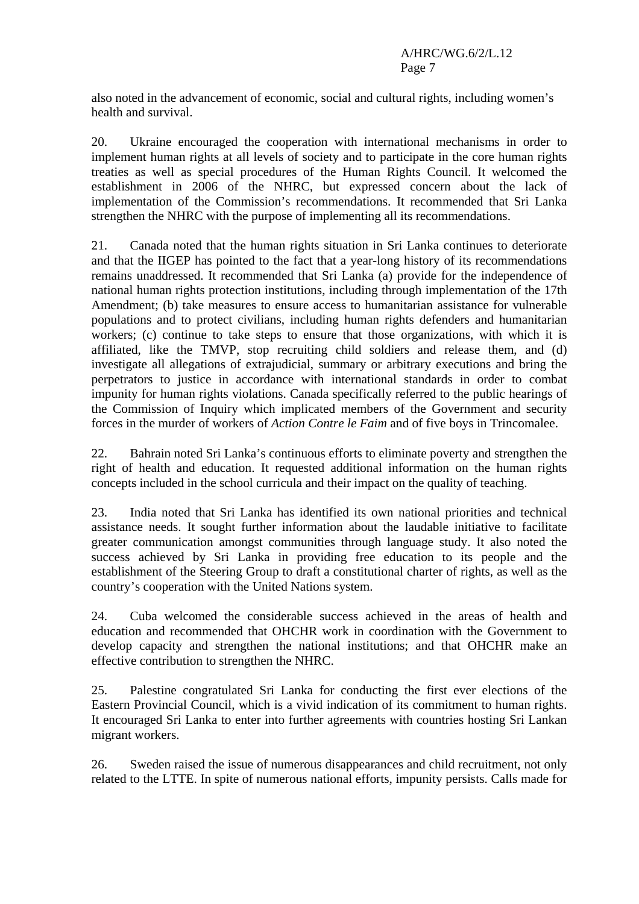also noted in the advancement of economic, social and cultural rights, including women's health and survival.

20. Ukraine encouraged the cooperation with international mechanisms in order to implement human rights at all levels of society and to participate in the core human rights treaties as well as special procedures of the Human Rights Council. It welcomed the establishment in 2006 of the NHRC, but expressed concern about the lack of implementation of the Commission's recommendations. It recommended that Sri Lanka strengthen the NHRC with the purpose of implementing all its recommendations.

21. Canada noted that the human rights situation in Sri Lanka continues to deteriorate and that the IIGEP has pointed to the fact that a year-long history of its recommendations remains unaddressed. It recommended that Sri Lanka (a) provide for the independence of national human rights protection institutions, including through implementation of the 17th Amendment; (b) take measures to ensure access to humanitarian assistance for vulnerable populations and to protect civilians, including human rights defenders and humanitarian workers; (c) continue to take steps to ensure that those organizations, with which it is affiliated, like the TMVP, stop recruiting child soldiers and release them, and (d) investigate all allegations of extrajudicial, summary or arbitrary executions and bring the perpetrators to justice in accordance with international standards in order to combat impunity for human rights violations. Canada specifically referred to the public hearings of the Commission of Inquiry which implicated members of the Government and security forces in the murder of workers of *Action Contre le Faim* and of five boys in Trincomalee.

22. Bahrain noted Sri Lanka's continuous efforts to eliminate poverty and strengthen the right of health and education. It requested additional information on the human rights concepts included in the school curricula and their impact on the quality of teaching.

23. India noted that Sri Lanka has identified its own national priorities and technical assistance needs. It sought further information about the laudable initiative to facilitate greater communication amongst communities through language study. It also noted the success achieved by Sri Lanka in providing free education to its people and the establishment of the Steering Group to draft a constitutional charter of rights, as well as the country's cooperation with the United Nations system.

24. Cuba welcomed the considerable success achieved in the areas of health and education and recommended that OHCHR work in coordination with the Government to develop capacity and strengthen the national institutions; and that OHCHR make an effective contribution to strengthen the NHRC.

25. Palestine congratulated Sri Lanka for conducting the first ever elections of the Eastern Provincial Council, which is a vivid indication of its commitment to human rights. It encouraged Sri Lanka to enter into further agreements with countries hosting Sri Lankan migrant workers.

26. Sweden raised the issue of numerous disappearances and child recruitment, not only related to the LTTE. In spite of numerous national efforts, impunity persists. Calls made for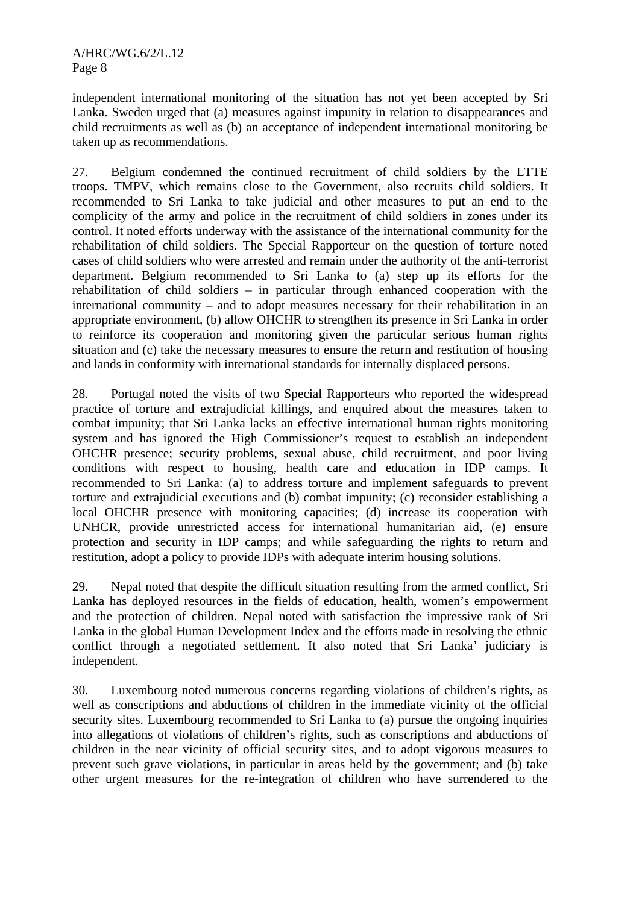independent international monitoring of the situation has not yet been accepted by Sri Lanka. Sweden urged that (a) measures against impunity in relation to disappearances and child recruitments as well as (b) an acceptance of independent international monitoring be taken up as recommendations.

27. Belgium condemned the continued recruitment of child soldiers by the LTTE troops. TMPV, which remains close to the Government, also recruits child soldiers. It recommended to Sri Lanka to take judicial and other measures to put an end to the complicity of the army and police in the recruitment of child soldiers in zones under its control. It noted efforts underway with the assistance of the international community for the rehabilitation of child soldiers. The Special Rapporteur on the question of torture noted cases of child soldiers who were arrested and remain under the authority of the anti-terrorist department. Belgium recommended to Sri Lanka to (a) step up its efforts for the rehabilitation of child soldiers – in particular through enhanced cooperation with the international community – and to adopt measures necessary for their rehabilitation in an appropriate environment, (b) allow OHCHR to strengthen its presence in Sri Lanka in order to reinforce its cooperation and monitoring given the particular serious human rights situation and (c) take the necessary measures to ensure the return and restitution of housing and lands in conformity with international standards for internally displaced persons.

28. Portugal noted the visits of two Special Rapporteurs who reported the widespread practice of torture and extrajudicial killings, and enquired about the measures taken to combat impunity; that Sri Lanka lacks an effective international human rights monitoring system and has ignored the High Commissioner's request to establish an independent OHCHR presence; security problems, sexual abuse, child recruitment, and poor living conditions with respect to housing, health care and education in IDP camps. It recommended to Sri Lanka: (a) to address torture and implement safeguards to prevent torture and extrajudicial executions and (b) combat impunity; (c) reconsider establishing a local OHCHR presence with monitoring capacities; (d) increase its cooperation with UNHCR, provide unrestricted access for international humanitarian aid, (e) ensure protection and security in IDP camps; and while safeguarding the rights to return and restitution, adopt a policy to provide IDPs with adequate interim housing solutions.

29. Nepal noted that despite the difficult situation resulting from the armed conflict, Sri Lanka has deployed resources in the fields of education, health, women's empowerment and the protection of children. Nepal noted with satisfaction the impressive rank of Sri Lanka in the global Human Development Index and the efforts made in resolving the ethnic conflict through a negotiated settlement. It also noted that Sri Lanka' judiciary is independent.

30. Luxembourg noted numerous concerns regarding violations of children's rights, as well as conscriptions and abductions of children in the immediate vicinity of the official security sites. Luxembourg recommended to Sri Lanka to (a) pursue the ongoing inquiries into allegations of violations of children's rights, such as conscriptions and abductions of children in the near vicinity of official security sites, and to adopt vigorous measures to prevent such grave violations, in particular in areas held by the government; and (b) take other urgent measures for the re-integration of children who have surrendered to the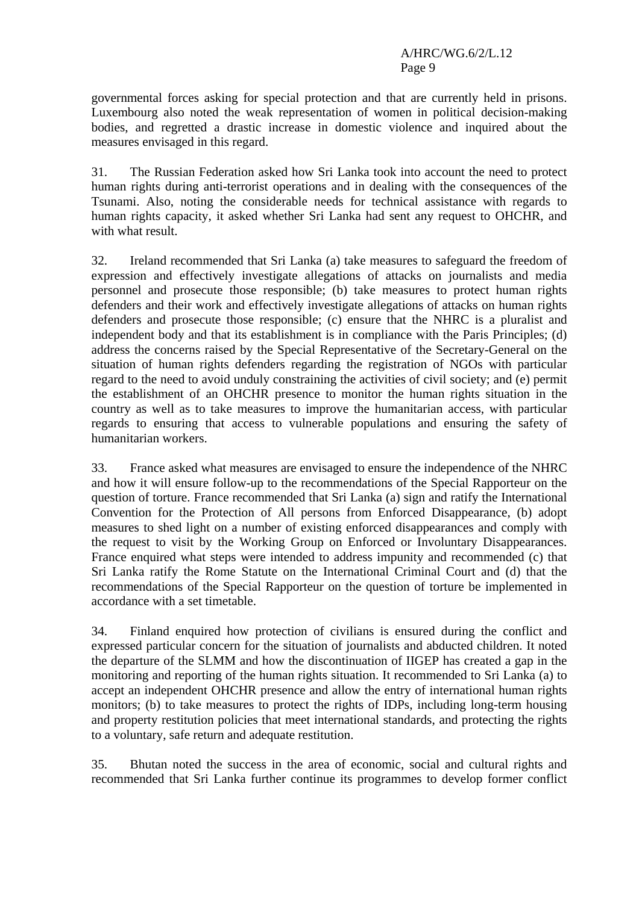governmental forces asking for special protection and that are currently held in prisons. Luxembourg also noted the weak representation of women in political decision-making bodies, and regretted a drastic increase in domestic violence and inquired about the measures envisaged in this regard.

31. The Russian Federation asked how Sri Lanka took into account the need to protect human rights during anti-terrorist operations and in dealing with the consequences of the Tsunami. Also, noting the considerable needs for technical assistance with regards to human rights capacity, it asked whether Sri Lanka had sent any request to OHCHR, and with what result.

32. Ireland recommended that Sri Lanka (a) take measures to safeguard the freedom of expression and effectively investigate allegations of attacks on journalists and media personnel and prosecute those responsible; (b) take measures to protect human rights defenders and their work and effectively investigate allegations of attacks on human rights defenders and prosecute those responsible; (c) ensure that the NHRC is a pluralist and independent body and that its establishment is in compliance with the Paris Principles; (d) address the concerns raised by the Special Representative of the Secretary-General on the situation of human rights defenders regarding the registration of NGOs with particular regard to the need to avoid unduly constraining the activities of civil society; and (e) permit the establishment of an OHCHR presence to monitor the human rights situation in the country as well as to take measures to improve the humanitarian access, with particular regards to ensuring that access to vulnerable populations and ensuring the safety of humanitarian workers.

33. France asked what measures are envisaged to ensure the independence of the NHRC and how it will ensure follow-up to the recommendations of the Special Rapporteur on the question of torture. France recommended that Sri Lanka (a) sign and ratify the International Convention for the Protection of All persons from Enforced Disappearance, (b) adopt measures to shed light on a number of existing enforced disappearances and comply with the request to visit by the Working Group on Enforced or Involuntary Disappearances. France enquired what steps were intended to address impunity and recommended (c) that Sri Lanka ratify the Rome Statute on the International Criminal Court and (d) that the recommendations of the Special Rapporteur on the question of torture be implemented in accordance with a set timetable.

34. Finland enquired how protection of civilians is ensured during the conflict and expressed particular concern for the situation of journalists and abducted children. It noted the departure of the SLMM and how the discontinuation of IIGEP has created a gap in the monitoring and reporting of the human rights situation. It recommended to Sri Lanka (a) to accept an independent OHCHR presence and allow the entry of international human rights monitors; (b) to take measures to protect the rights of IDPs, including long-term housing and property restitution policies that meet international standards, and protecting the rights to a voluntary, safe return and adequate restitution.

35. Bhutan noted the success in the area of economic, social and cultural rights and recommended that Sri Lanka further continue its programmes to develop former conflict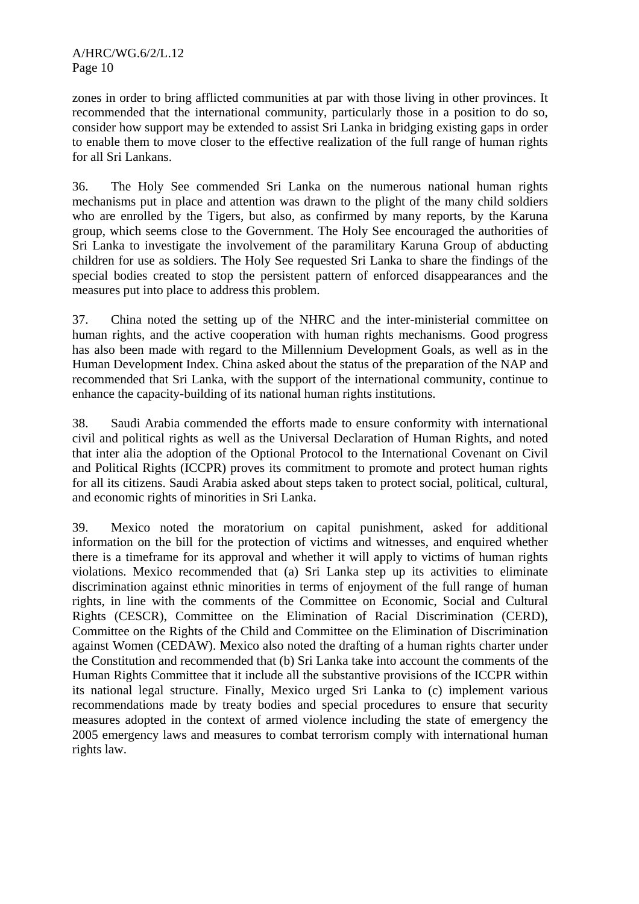zones in order to bring afflicted communities at par with those living in other provinces. It recommended that the international community, particularly those in a position to do so, consider how support may be extended to assist Sri Lanka in bridging existing gaps in order to enable them to move closer to the effective realization of the full range of human rights for all Sri Lankans.

36. The Holy See commended Sri Lanka on the numerous national human rights mechanisms put in place and attention was drawn to the plight of the many child soldiers who are enrolled by the Tigers, but also, as confirmed by many reports, by the Karuna group, which seems close to the Government. The Holy See encouraged the authorities of Sri Lanka to investigate the involvement of the paramilitary Karuna Group of abducting children for use as soldiers. The Holy See requested Sri Lanka to share the findings of the special bodies created to stop the persistent pattern of enforced disappearances and the measures put into place to address this problem.

37. China noted the setting up of the NHRC and the inter-ministerial committee on human rights, and the active cooperation with human rights mechanisms. Good progress has also been made with regard to the Millennium Development Goals, as well as in the Human Development Index. China asked about the status of the preparation of the NAP and recommended that Sri Lanka, with the support of the international community, continue to enhance the capacity-building of its national human rights institutions.

38. Saudi Arabia commended the efforts made to ensure conformity with international civil and political rights as well as the Universal Declaration of Human Rights, and noted that inter alia the adoption of the Optional Protocol to the International Covenant on Civil and Political Rights (ICCPR) proves its commitment to promote and protect human rights for all its citizens. Saudi Arabia asked about steps taken to protect social, political, cultural, and economic rights of minorities in Sri Lanka.

39. Mexico noted the moratorium on capital punishment, asked for additional information on the bill for the protection of victims and witnesses, and enquired whether there is a timeframe for its approval and whether it will apply to victims of human rights violations. Mexico recommended that (a) Sri Lanka step up its activities to eliminate discrimination against ethnic minorities in terms of enjoyment of the full range of human rights, in line with the comments of the Committee on Economic, Social and Cultural Rights (CESCR), Committee on the Elimination of Racial Discrimination (CERD), Committee on the Rights of the Child and Committee on the Elimination of Discrimination against Women (CEDAW). Mexico also noted the drafting of a human rights charter under the Constitution and recommended that (b) Sri Lanka take into account the comments of the Human Rights Committee that it include all the substantive provisions of the ICCPR within its national legal structure. Finally, Mexico urged Sri Lanka to (c) implement various recommendations made by treaty bodies and special procedures to ensure that security measures adopted in the context of armed violence including the state of emergency the 2005 emergency laws and measures to combat terrorism comply with international human rights law.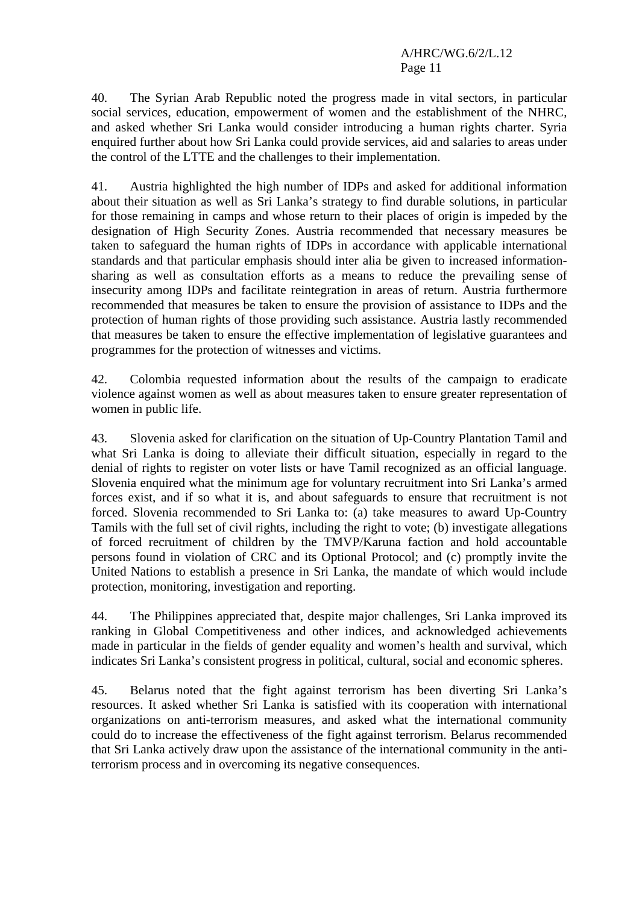40. The Syrian Arab Republic noted the progress made in vital sectors, in particular social services, education, empowerment of women and the establishment of the NHRC, and asked whether Sri Lanka would consider introducing a human rights charter. Syria enquired further about how Sri Lanka could provide services, aid and salaries to areas under the control of the LTTE and the challenges to their implementation.

41. Austria highlighted the high number of IDPs and asked for additional information about their situation as well as Sri Lanka's strategy to find durable solutions, in particular for those remaining in camps and whose return to their places of origin is impeded by the designation of High Security Zones. Austria recommended that necessary measures be taken to safeguard the human rights of IDPs in accordance with applicable international standards and that particular emphasis should inter alia be given to increased informationsharing as well as consultation efforts as a means to reduce the prevailing sense of insecurity among IDPs and facilitate reintegration in areas of return. Austria furthermore recommended that measures be taken to ensure the provision of assistance to IDPs and the protection of human rights of those providing such assistance. Austria lastly recommended that measures be taken to ensure the effective implementation of legislative guarantees and programmes for the protection of witnesses and victims.

42. Colombia requested information about the results of the campaign to eradicate violence against women as well as about measures taken to ensure greater representation of women in public life.

43. Slovenia asked for clarification on the situation of Up-Country Plantation Tamil and what Sri Lanka is doing to alleviate their difficult situation, especially in regard to the denial of rights to register on voter lists or have Tamil recognized as an official language. Slovenia enquired what the minimum age for voluntary recruitment into Sri Lanka's armed forces exist, and if so what it is, and about safeguards to ensure that recruitment is not forced. Slovenia recommended to Sri Lanka to: (a) take measures to award Up-Country Tamils with the full set of civil rights, including the right to vote; (b) investigate allegations of forced recruitment of children by the TMVP/Karuna faction and hold accountable persons found in violation of CRC and its Optional Protocol; and (c) promptly invite the United Nations to establish a presence in Sri Lanka, the mandate of which would include protection, monitoring, investigation and reporting.

44. The Philippines appreciated that, despite major challenges, Sri Lanka improved its ranking in Global Competitiveness and other indices, and acknowledged achievements made in particular in the fields of gender equality and women's health and survival, which indicates Sri Lanka's consistent progress in political, cultural, social and economic spheres.

45. Belarus noted that the fight against terrorism has been diverting Sri Lanka's resources. It asked whether Sri Lanka is satisfied with its cooperation with international organizations on anti-terrorism measures, and asked what the international community could do to increase the effectiveness of the fight against terrorism. Belarus recommended that Sri Lanka actively draw upon the assistance of the international community in the antiterrorism process and in overcoming its negative consequences.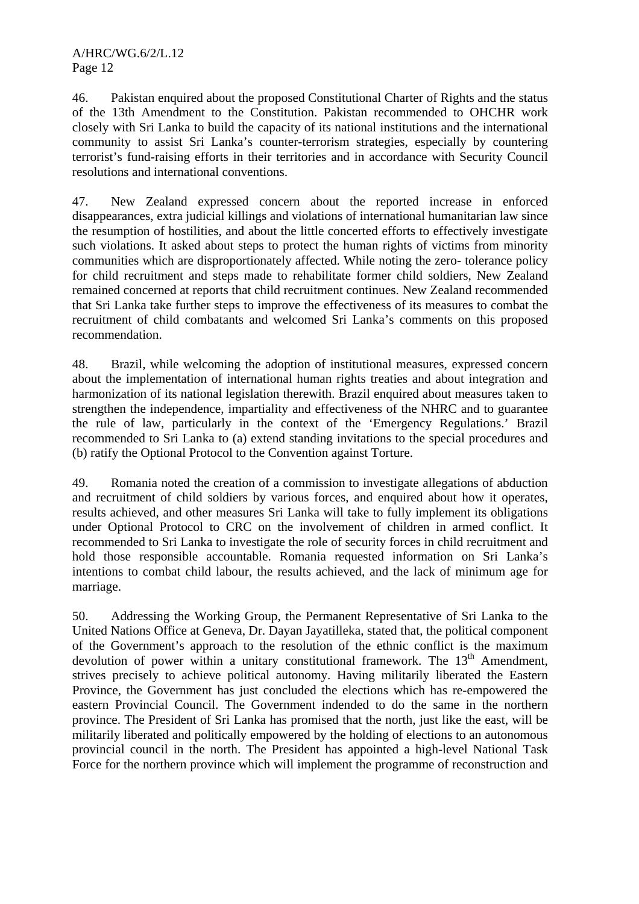46. Pakistan enquired about the proposed Constitutional Charter of Rights and the status of the 13th Amendment to the Constitution. Pakistan recommended to OHCHR work closely with Sri Lanka to build the capacity of its national institutions and the international community to assist Sri Lanka's counter-terrorism strategies, especially by countering terrorist's fund-raising efforts in their territories and in accordance with Security Council resolutions and international conventions.

47. New Zealand expressed concern about the reported increase in enforced disappearances, extra judicial killings and violations of international humanitarian law since the resumption of hostilities, and about the little concerted efforts to effectively investigate such violations. It asked about steps to protect the human rights of victims from minority communities which are disproportionately affected. While noting the zero- tolerance policy for child recruitment and steps made to rehabilitate former child soldiers, New Zealand remained concerned at reports that child recruitment continues. New Zealand recommended that Sri Lanka take further steps to improve the effectiveness of its measures to combat the recruitment of child combatants and welcomed Sri Lanka's comments on this proposed recommendation.

48. Brazil, while welcoming the adoption of institutional measures, expressed concern about the implementation of international human rights treaties and about integration and harmonization of its national legislation therewith. Brazil enquired about measures taken to strengthen the independence, impartiality and effectiveness of the NHRC and to guarantee the rule of law, particularly in the context of the 'Emergency Regulations.' Brazil recommended to Sri Lanka to (a) extend standing invitations to the special procedures and (b) ratify the Optional Protocol to the Convention against Torture.

49. Romania noted the creation of a commission to investigate allegations of abduction and recruitment of child soldiers by various forces, and enquired about how it operates, results achieved, and other measures Sri Lanka will take to fully implement its obligations under Optional Protocol to CRC on the involvement of children in armed conflict. It recommended to Sri Lanka to investigate the role of security forces in child recruitment and hold those responsible accountable. Romania requested information on Sri Lanka's intentions to combat child labour, the results achieved, and the lack of minimum age for marriage.

50. Addressing the Working Group, the Permanent Representative of Sri Lanka to the United Nations Office at Geneva, Dr. Dayan Jayatilleka, stated that, the political component of the Government's approach to the resolution of the ethnic conflict is the maximum devolution of power within a unitary constitutional framework. The  $13<sup>th</sup>$  Amendment, strives precisely to achieve political autonomy. Having militarily liberated the Eastern Province, the Government has just concluded the elections which has re-empowered the eastern Provincial Council. The Government indended to do the same in the northern province. The President of Sri Lanka has promised that the north, just like the east, will be militarily liberated and politically empowered by the holding of elections to an autonomous provincial council in the north. The President has appointed a high-level National Task Force for the northern province which will implement the programme of reconstruction and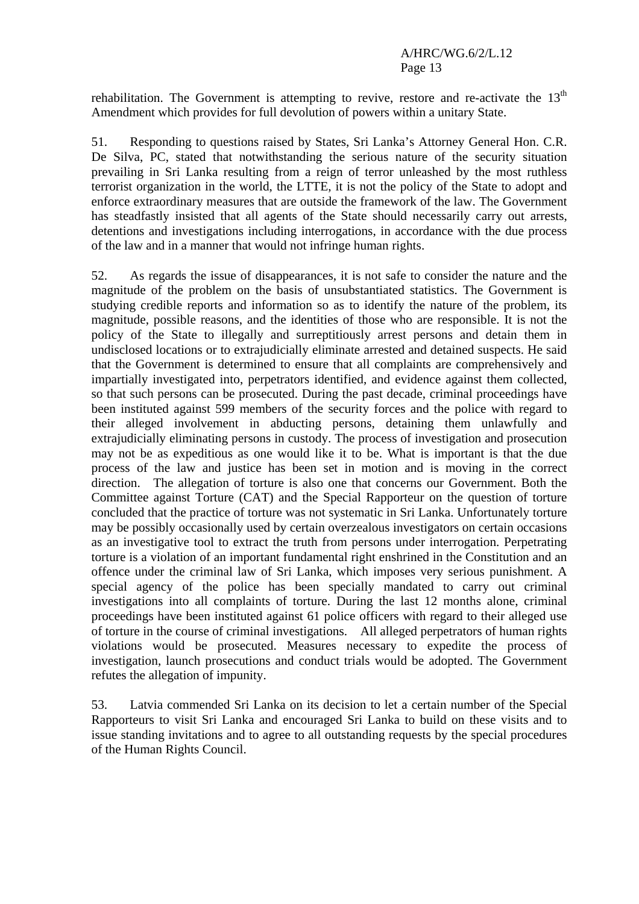rehabilitation. The Government is attempting to revive, restore and re-activate the  $13<sup>th</sup>$ Amendment which provides for full devolution of powers within a unitary State.

51. Responding to questions raised by States, Sri Lanka's Attorney General Hon. C.R. De Silva, PC, stated that notwithstanding the serious nature of the security situation prevailing in Sri Lanka resulting from a reign of terror unleashed by the most ruthless terrorist organization in the world, the LTTE, it is not the policy of the State to adopt and enforce extraordinary measures that are outside the framework of the law. The Government has steadfastly insisted that all agents of the State should necessarily carry out arrests, detentions and investigations including interrogations, in accordance with the due process of the law and in a manner that would not infringe human rights.

52. As regards the issue of disappearances, it is not safe to consider the nature and the magnitude of the problem on the basis of unsubstantiated statistics. The Government is studying credible reports and information so as to identify the nature of the problem, its magnitude, possible reasons, and the identities of those who are responsible. It is not the policy of the State to illegally and surreptitiously arrest persons and detain them in undisclosed locations or to extrajudicially eliminate arrested and detained suspects. He said that the Government is determined to ensure that all complaints are comprehensively and impartially investigated into, perpetrators identified, and evidence against them collected, so that such persons can be prosecuted. During the past decade, criminal proceedings have been instituted against 599 members of the security forces and the police with regard to their alleged involvement in abducting persons, detaining them unlawfully and extrajudicially eliminating persons in custody. The process of investigation and prosecution may not be as expeditious as one would like it to be. What is important is that the due process of the law and justice has been set in motion and is moving in the correct direction. The allegation of torture is also one that concerns our Government. Both the Committee against Torture (CAT) and the Special Rapporteur on the question of torture concluded that the practice of torture was not systematic in Sri Lanka. Unfortunately torture may be possibly occasionally used by certain overzealous investigators on certain occasions as an investigative tool to extract the truth from persons under interrogation. Perpetrating torture is a violation of an important fundamental right enshrined in the Constitution and an offence under the criminal law of Sri Lanka, which imposes very serious punishment. A special agency of the police has been specially mandated to carry out criminal investigations into all complaints of torture. During the last 12 months alone, criminal proceedings have been instituted against 61 police officers with regard to their alleged use of torture in the course of criminal investigations. All alleged perpetrators of human rights violations would be prosecuted. Measures necessary to expedite the process of investigation, launch prosecutions and conduct trials would be adopted. The Government refutes the allegation of impunity.

53. Latvia commended Sri Lanka on its decision to let a certain number of the Special Rapporteurs to visit Sri Lanka and encouraged Sri Lanka to build on these visits and to issue standing invitations and to agree to all outstanding requests by the special procedures of the Human Rights Council.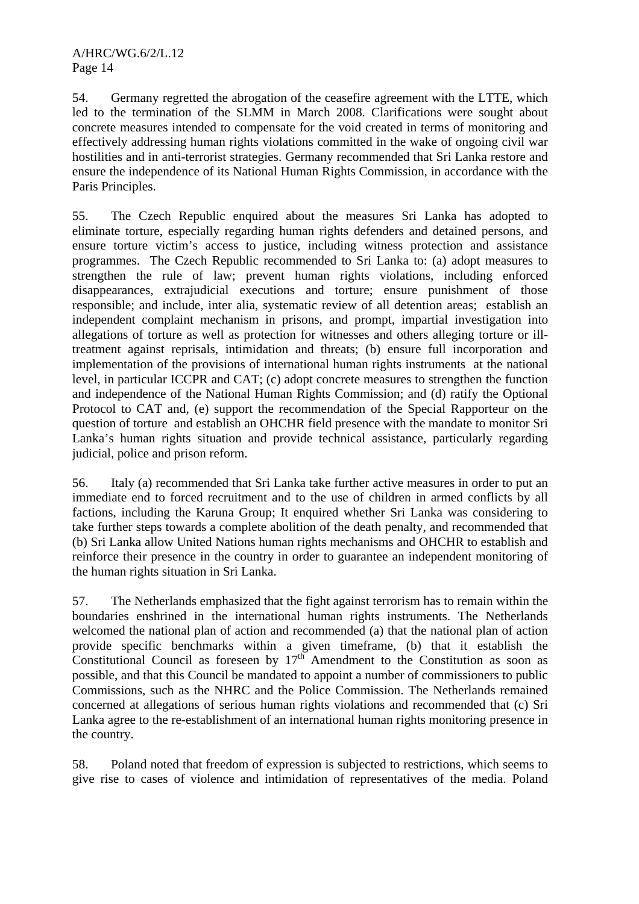54. Germany regretted the abrogation of the ceasefire agreement with the LTTE, which led to the termination of the SLMM in March 2008. Clarifications were sought about concrete measures intended to compensate for the void created in terms of monitoring and effectively addressing human rights violations committed in the wake of ongoing civil war hostilities and in anti-terrorist strategies. Germany recommended that Sri Lanka restore and ensure the independence of its National Human Rights Commission, in accordance with the Paris Principles.

55. The Czech Republic enquired about the measures Sri Lanka has adopted to eliminate torture, especially regarding human rights defenders and detained persons, and ensure torture victim's access to justice, including witness protection and assistance programmes. The Czech Republic recommended to Sri Lanka to: (a) adopt measures to strengthen the rule of law; prevent human rights violations, including enforced disappearances, extrajudicial executions and torture; ensure punishment of those responsible; and include, inter alia, systematic review of all detention areas; establish an independent complaint mechanism in prisons, and prompt, impartial investigation into allegations of torture as well as protection for witnesses and others alleging torture or illtreatment against reprisals, intimidation and threats; (b) ensure full incorporation and implementation of the provisions of international human rights instruments at the national level, in particular ICCPR and CAT; (c) adopt concrete measures to strengthen the function and independence of the National Human Rights Commission; and (d) ratify the Optional Protocol to CAT and, (e) support the recommendation of the Special Rapporteur on the question of torture and establish an OHCHR field presence with the mandate to monitor Sri Lanka's human rights situation and provide technical assistance, particularly regarding judicial, police and prison reform.

56. Italy (a) recommended that Sri Lanka take further active measures in order to put an immediate end to forced recruitment and to the use of children in armed conflicts by all factions, including the Karuna Group; It enquired whether Sri Lanka was considering to take further steps towards a complete abolition of the death penalty, and recommended that (b) Sri Lanka allow United Nations human rights mechanisms and OHCHR to establish and reinforce their presence in the country in order to guarantee an independent monitoring of the human rights situation in Sri Lanka.

57. The Netherlands emphasized that the fight against terrorism has to remain within the boundaries enshrined in the international human rights instruments. The Netherlands welcomed the national plan of action and recommended (a) that the national plan of action provide specific benchmarks within a given timeframe, (b) that it establish the Constitutional Council as foreseen by  $17<sup>th</sup>$  Amendment to the Constitution as soon as possible, and that this Council be mandated to appoint a number of commissioners to public Commissions, such as the NHRC and the Police Commission. The Netherlands remained concerned at allegations of serious human rights violations and recommended that (c) Sri Lanka agree to the re-establishment of an international human rights monitoring presence in the country.

58. Poland noted that freedom of expression is subjected to restrictions, which seems to give rise to cases of violence and intimidation of representatives of the media. Poland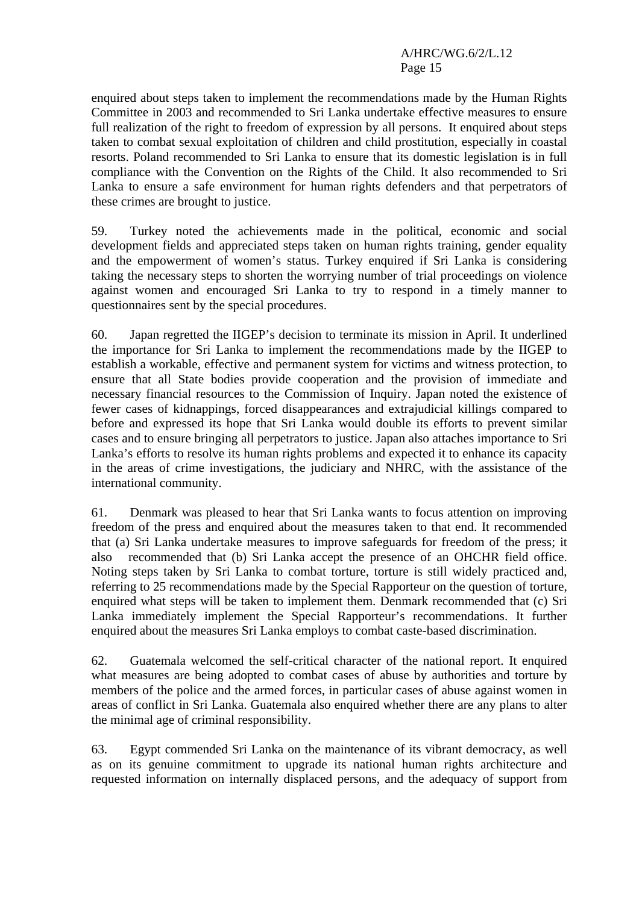enquired about steps taken to implement the recommendations made by the Human Rights Committee in 2003 and recommended to Sri Lanka undertake effective measures to ensure full realization of the right to freedom of expression by all persons. It enquired about steps taken to combat sexual exploitation of children and child prostitution, especially in coastal resorts. Poland recommended to Sri Lanka to ensure that its domestic legislation is in full compliance with the Convention on the Rights of the Child. It also recommended to Sri Lanka to ensure a safe environment for human rights defenders and that perpetrators of these crimes are brought to justice.

59. Turkey noted the achievements made in the political, economic and social development fields and appreciated steps taken on human rights training, gender equality and the empowerment of women's status. Turkey enquired if Sri Lanka is considering taking the necessary steps to shorten the worrying number of trial proceedings on violence against women and encouraged Sri Lanka to try to respond in a timely manner to questionnaires sent by the special procedures.

60. Japan regretted the IIGEP's decision to terminate its mission in April. It underlined the importance for Sri Lanka to implement the recommendations made by the IIGEP to establish a workable, effective and permanent system for victims and witness protection, to ensure that all State bodies provide cooperation and the provision of immediate and necessary financial resources to the Commission of Inquiry. Japan noted the existence of fewer cases of kidnappings, forced disappearances and extrajudicial killings compared to before and expressed its hope that Sri Lanka would double its efforts to prevent similar cases and to ensure bringing all perpetrators to justice. Japan also attaches importance to Sri Lanka's efforts to resolve its human rights problems and expected it to enhance its capacity in the areas of crime investigations, the judiciary and NHRC, with the assistance of the international community.

61. Denmark was pleased to hear that Sri Lanka wants to focus attention on improving freedom of the press and enquired about the measures taken to that end. It recommended that (a) Sri Lanka undertake measures to improve safeguards for freedom of the press; it also recommended that (b) Sri Lanka accept the presence of an OHCHR field office. Noting steps taken by Sri Lanka to combat torture, torture is still widely practiced and, referring to 25 recommendations made by the Special Rapporteur on the question of torture, enquired what steps will be taken to implement them. Denmark recommended that (c) Sri Lanka immediately implement the Special Rapporteur's recommendations. It further enquired about the measures Sri Lanka employs to combat caste-based discrimination.

62. Guatemala welcomed the self-critical character of the national report. It enquired what measures are being adopted to combat cases of abuse by authorities and torture by members of the police and the armed forces, in particular cases of abuse against women in areas of conflict in Sri Lanka. Guatemala also enquired whether there are any plans to alter the minimal age of criminal responsibility.

63. Egypt commended Sri Lanka on the maintenance of its vibrant democracy, as well as on its genuine commitment to upgrade its national human rights architecture and requested information on internally displaced persons, and the adequacy of support from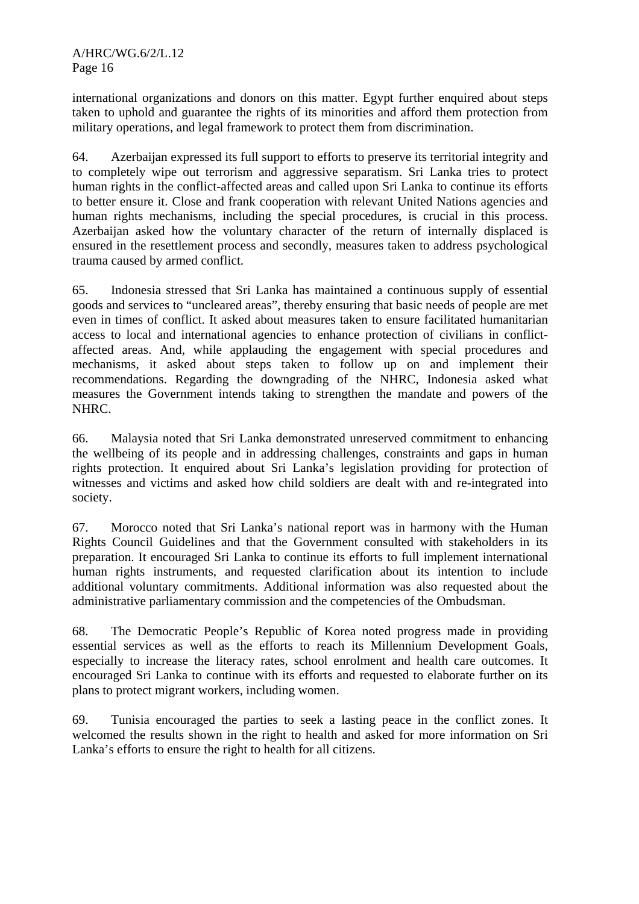international organizations and donors on this matter. Egypt further enquired about steps taken to uphold and guarantee the rights of its minorities and afford them protection from military operations, and legal framework to protect them from discrimination.

64. Azerbaijan expressed its full support to efforts to preserve its territorial integrity and to completely wipe out terrorism and aggressive separatism. Sri Lanka tries to protect human rights in the conflict-affected areas and called upon Sri Lanka to continue its efforts to better ensure it. Close and frank cooperation with relevant United Nations agencies and human rights mechanisms, including the special procedures, is crucial in this process. Azerbaijan asked how the voluntary character of the return of internally displaced is ensured in the resettlement process and secondly, measures taken to address psychological trauma caused by armed conflict.

65. Indonesia stressed that Sri Lanka has maintained a continuous supply of essential goods and services to "uncleared areas", thereby ensuring that basic needs of people are met even in times of conflict. It asked about measures taken to ensure facilitated humanitarian access to local and international agencies to enhance protection of civilians in conflictaffected areas. And, while applauding the engagement with special procedures and mechanisms, it asked about steps taken to follow up on and implement their recommendations. Regarding the downgrading of the NHRC, Indonesia asked what measures the Government intends taking to strengthen the mandate and powers of the NHRC.

66. Malaysia noted that Sri Lanka demonstrated unreserved commitment to enhancing the wellbeing of its people and in addressing challenges, constraints and gaps in human rights protection. It enquired about Sri Lanka's legislation providing for protection of witnesses and victims and asked how child soldiers are dealt with and re-integrated into society.

67. Morocco noted that Sri Lanka's national report was in harmony with the Human Rights Council Guidelines and that the Government consulted with stakeholders in its preparation. It encouraged Sri Lanka to continue its efforts to full implement international human rights instruments, and requested clarification about its intention to include additional voluntary commitments. Additional information was also requested about the administrative parliamentary commission and the competencies of the Ombudsman.

68. The Democratic People's Republic of Korea noted progress made in providing essential services as well as the efforts to reach its Millennium Development Goals, especially to increase the literacy rates, school enrolment and health care outcomes. It encouraged Sri Lanka to continue with its efforts and requested to elaborate further on its plans to protect migrant workers, including women.

69. Tunisia encouraged the parties to seek a lasting peace in the conflict zones. It welcomed the results shown in the right to health and asked for more information on Sri Lanka's efforts to ensure the right to health for all citizens.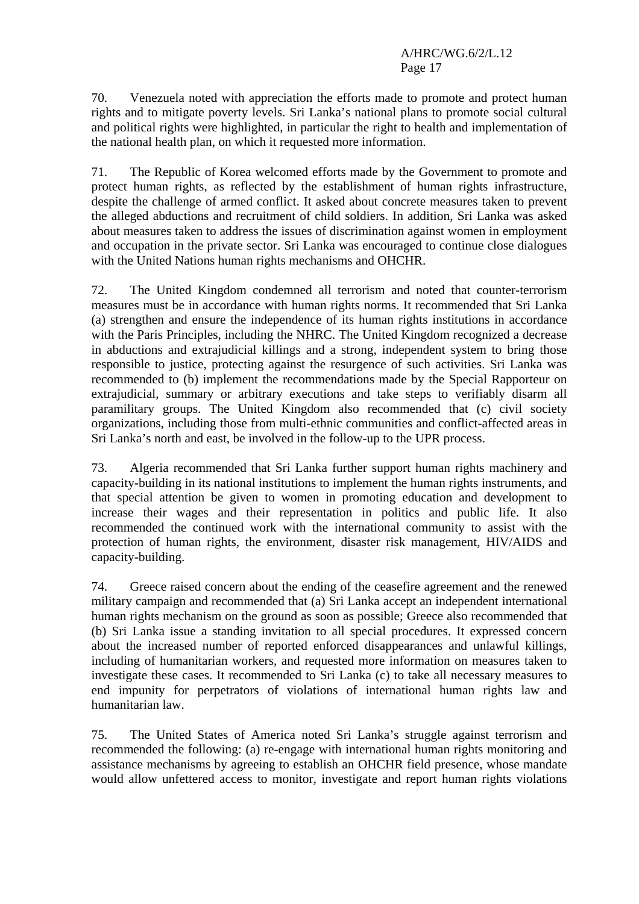70. Venezuela noted with appreciation the efforts made to promote and protect human rights and to mitigate poverty levels. Sri Lanka's national plans to promote social cultural and political rights were highlighted, in particular the right to health and implementation of the national health plan, on which it requested more information.

71. The Republic of Korea welcomed efforts made by the Government to promote and protect human rights, as reflected by the establishment of human rights infrastructure, despite the challenge of armed conflict. It asked about concrete measures taken to prevent the alleged abductions and recruitment of child soldiers. In addition, Sri Lanka was asked about measures taken to address the issues of discrimination against women in employment and occupation in the private sector. Sri Lanka was encouraged to continue close dialogues with the United Nations human rights mechanisms and OHCHR.

72. The United Kingdom condemned all terrorism and noted that counter-terrorism measures must be in accordance with human rights norms. It recommended that Sri Lanka (a) strengthen and ensure the independence of its human rights institutions in accordance with the Paris Principles, including the NHRC. The United Kingdom recognized a decrease in abductions and extrajudicial killings and a strong, independent system to bring those responsible to justice, protecting against the resurgence of such activities. Sri Lanka was recommended to (b) implement the recommendations made by the Special Rapporteur on extrajudicial, summary or arbitrary executions and take steps to verifiably disarm all paramilitary groups. The United Kingdom also recommended that (c) civil society organizations, including those from multi-ethnic communities and conflict-affected areas in Sri Lanka's north and east, be involved in the follow-up to the UPR process.

73. Algeria recommended that Sri Lanka further support human rights machinery and capacity-building in its national institutions to implement the human rights instruments, and that special attention be given to women in promoting education and development to increase their wages and their representation in politics and public life. It also recommended the continued work with the international community to assist with the protection of human rights, the environment, disaster risk management, HIV/AIDS and capacity-building.

74. Greece raised concern about the ending of the ceasefire agreement and the renewed military campaign and recommended that (a) Sri Lanka accept an independent international human rights mechanism on the ground as soon as possible; Greece also recommended that (b) Sri Lanka issue a standing invitation to all special procedures. It expressed concern about the increased number of reported enforced disappearances and unlawful killings, including of humanitarian workers, and requested more information on measures taken to investigate these cases. It recommended to Sri Lanka (c) to take all necessary measures to end impunity for perpetrators of violations of international human rights law and humanitarian law.

75. The United States of America noted Sri Lanka's struggle against terrorism and recommended the following: (a) re-engage with international human rights monitoring and assistance mechanisms by agreeing to establish an OHCHR field presence, whose mandate would allow unfettered access to monitor, investigate and report human rights violations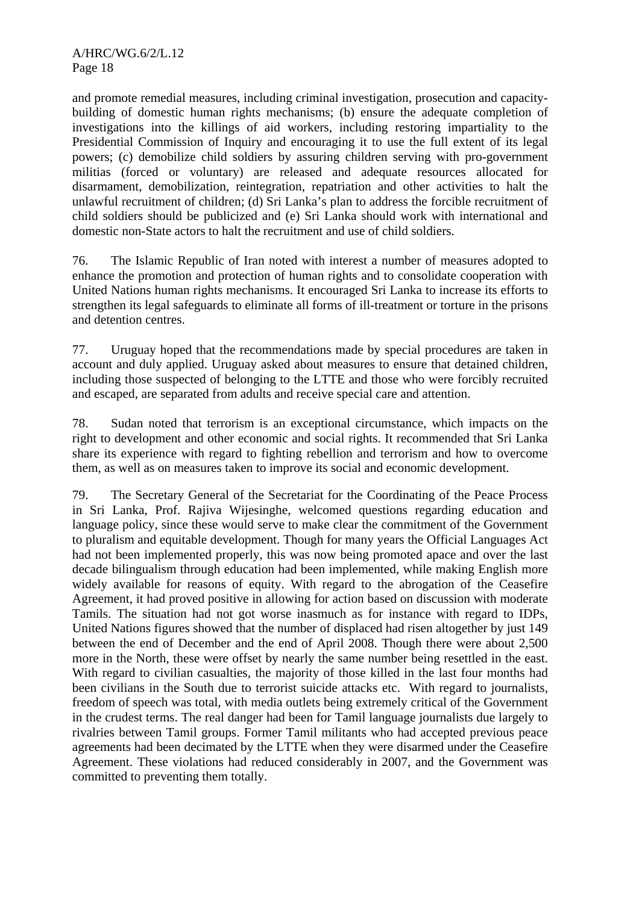and promote remedial measures, including criminal investigation, prosecution and capacitybuilding of domestic human rights mechanisms; (b) ensure the adequate completion of investigations into the killings of aid workers, including restoring impartiality to the Presidential Commission of Inquiry and encouraging it to use the full extent of its legal powers; (c) demobilize child soldiers by assuring children serving with pro-government militias (forced or voluntary) are released and adequate resources allocated for disarmament, demobilization, reintegration, repatriation and other activities to halt the unlawful recruitment of children; (d) Sri Lanka's plan to address the forcible recruitment of child soldiers should be publicized and (e) Sri Lanka should work with international and domestic non-State actors to halt the recruitment and use of child soldiers.

76. The Islamic Republic of Iran noted with interest a number of measures adopted to enhance the promotion and protection of human rights and to consolidate cooperation with United Nations human rights mechanisms. It encouraged Sri Lanka to increase its efforts to strengthen its legal safeguards to eliminate all forms of ill-treatment or torture in the prisons and detention centres.

77. Uruguay hoped that the recommendations made by special procedures are taken in account and duly applied. Uruguay asked about measures to ensure that detained children, including those suspected of belonging to the LTTE and those who were forcibly recruited and escaped, are separated from adults and receive special care and attention.

78. Sudan noted that terrorism is an exceptional circumstance, which impacts on the right to development and other economic and social rights. It recommended that Sri Lanka share its experience with regard to fighting rebellion and terrorism and how to overcome them, as well as on measures taken to improve its social and economic development.

79. The Secretary General of the Secretariat for the Coordinating of the Peace Process in Sri Lanka, Prof. Rajiva Wijesinghe, welcomed questions regarding education and language policy, since these would serve to make clear the commitment of the Government to pluralism and equitable development. Though for many years the Official Languages Act had not been implemented properly, this was now being promoted apace and over the last decade bilingualism through education had been implemented, while making English more widely available for reasons of equity. With regard to the abrogation of the Ceasefire Agreement, it had proved positive in allowing for action based on discussion with moderate Tamils. The situation had not got worse inasmuch as for instance with regard to IDPs, United Nations figures showed that the number of displaced had risen altogether by just 149 between the end of December and the end of April 2008. Though there were about 2,500 more in the North, these were offset by nearly the same number being resettled in the east. With regard to civilian casualties, the majority of those killed in the last four months had been civilians in the South due to terrorist suicide attacks etc. With regard to journalists, freedom of speech was total, with media outlets being extremely critical of the Government in the crudest terms. The real danger had been for Tamil language journalists due largely to rivalries between Tamil groups. Former Tamil militants who had accepted previous peace agreements had been decimated by the LTTE when they were disarmed under the Ceasefire Agreement. These violations had reduced considerably in 2007, and the Government was committed to preventing them totally.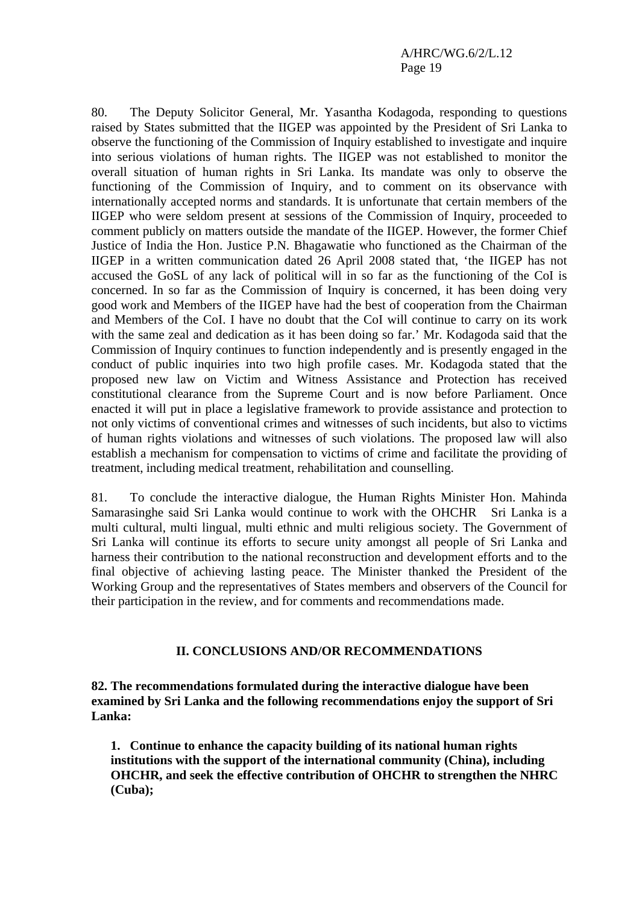80. The Deputy Solicitor General, Mr. Yasantha Kodagoda, responding to questions raised by States submitted that the IIGEP was appointed by the President of Sri Lanka to observe the functioning of the Commission of Inquiry established to investigate and inquire into serious violations of human rights. The IIGEP was not established to monitor the overall situation of human rights in Sri Lanka. Its mandate was only to observe the functioning of the Commission of Inquiry, and to comment on its observance with internationally accepted norms and standards. It is unfortunate that certain members of the IIGEP who were seldom present at sessions of the Commission of Inquiry, proceeded to comment publicly on matters outside the mandate of the IIGEP. However, the former Chief Justice of India the Hon. Justice P.N. Bhagawatie who functioned as the Chairman of the IIGEP in a written communication dated 26 April 2008 stated that, 'the IIGEP has not accused the GoSL of any lack of political will in so far as the functioning of the CoI is concerned. In so far as the Commission of Inquiry is concerned, it has been doing very good work and Members of the IIGEP have had the best of cooperation from the Chairman and Members of the CoI. I have no doubt that the CoI will continue to carry on its work with the same zeal and dedication as it has been doing so far.' Mr. Kodagoda said that the Commission of Inquiry continues to function independently and is presently engaged in the conduct of public inquiries into two high profile cases. Mr. Kodagoda stated that the proposed new law on Victim and Witness Assistance and Protection has received constitutional clearance from the Supreme Court and is now before Parliament. Once enacted it will put in place a legislative framework to provide assistance and protection to not only victims of conventional crimes and witnesses of such incidents, but also to victims of human rights violations and witnesses of such violations. The proposed law will also establish a mechanism for compensation to victims of crime and facilitate the providing of treatment, including medical treatment, rehabilitation and counselling.

81. To conclude the interactive dialogue, the Human Rights Minister Hon. Mahinda Samarasinghe said Sri Lanka would continue to work with the OHCHR Sri Lanka is a multi cultural, multi lingual, multi ethnic and multi religious society. The Government of Sri Lanka will continue its efforts to secure unity amongst all people of Sri Lanka and harness their contribution to the national reconstruction and development efforts and to the final objective of achieving lasting peace. The Minister thanked the President of the Working Group and the representatives of States members and observers of the Council for their participation in the review, and for comments and recommendations made.

### **II. CONCLUSIONS AND/OR RECOMMENDATIONS**

**82. The recommendations formulated during the interactive dialogue have been examined by Sri Lanka and the following recommendations enjoy the support of Sri Lanka:** 

**1. Continue to enhance the capacity building of its national human rights institutions with the support of the international community (China), including OHCHR, and seek the effective contribution of OHCHR to strengthen the NHRC (Cuba);**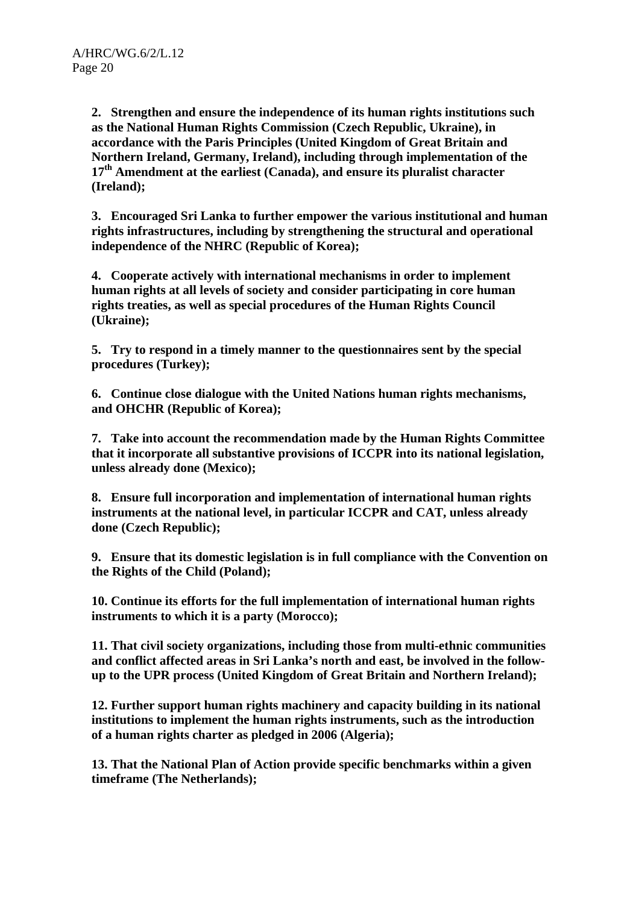**2. Strengthen and ensure the independence of its human rights institutions such as the National Human Rights Commission (Czech Republic, Ukraine), in accordance with the Paris Principles (United Kingdom of Great Britain and Northern Ireland, Germany, Ireland), including through implementation of the 17th Amendment at the earliest (Canada), and ensure its pluralist character (Ireland);** 

**3. Encouraged Sri Lanka to further empower the various institutional and human rights infrastructures, including by strengthening the structural and operational independence of the NHRC (Republic of Korea);** 

**4. Cooperate actively with international mechanisms in order to implement human rights at all levels of society and consider participating in core human rights treaties, as well as special procedures of the Human Rights Council (Ukraine);** 

**5. Try to respond in a timely manner to the questionnaires sent by the special procedures (Turkey);** 

**6. Continue close dialogue with the United Nations human rights mechanisms, and OHCHR (Republic of Korea);** 

**7. Take into account the recommendation made by the Human Rights Committee that it incorporate all substantive provisions of ICCPR into its national legislation, unless already done (Mexico);** 

**8. Ensure full incorporation and implementation of international human rights instruments at the national level, in particular ICCPR and CAT, unless already done (Czech Republic);** 

**9. Ensure that its domestic legislation is in full compliance with the Convention on the Rights of the Child (Poland);** 

**10. Continue its efforts for the full implementation of international human rights instruments to which it is a party (Morocco);** 

**11. That civil society organizations, including those from multi-ethnic communities and conflict affected areas in Sri Lanka's north and east, be involved in the followup to the UPR process (United Kingdom of Great Britain and Northern Ireland);** 

**12. Further support human rights machinery and capacity building in its national institutions to implement the human rights instruments, such as the introduction of a human rights charter as pledged in 2006 (Algeria);** 

**13. That the National Plan of Action provide specific benchmarks within a given timeframe (The Netherlands);**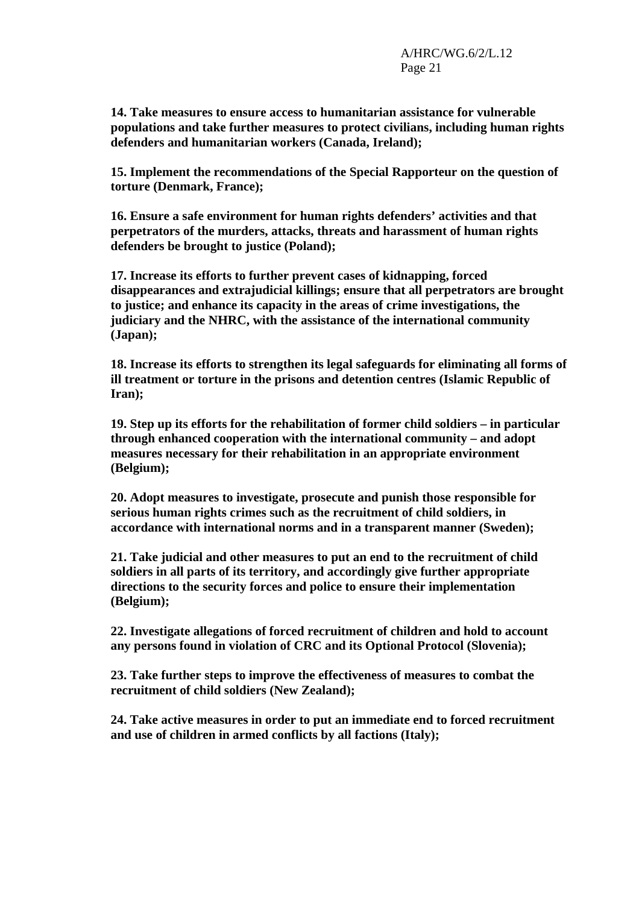**14. Take measures to ensure access to humanitarian assistance for vulnerable populations and take further measures to protect civilians, including human rights defenders and humanitarian workers (Canada, Ireland);** 

**15. Implement the recommendations of the Special Rapporteur on the question of torture (Denmark, France);** 

**16. Ensure a safe environment for human rights defenders' activities and that perpetrators of the murders, attacks, threats and harassment of human rights defenders be brought to justice (Poland);** 

**17. Increase its efforts to further prevent cases of kidnapping, forced disappearances and extrajudicial killings; ensure that all perpetrators are brought to justice; and enhance its capacity in the areas of crime investigations, the judiciary and the NHRC, with the assistance of the international community (Japan);** 

**18. Increase its efforts to strengthen its legal safeguards for eliminating all forms of ill treatment or torture in the prisons and detention centres (Islamic Republic of Iran);** 

**19. Step up its efforts for the rehabilitation of former child soldiers – in particular through enhanced cooperation with the international community – and adopt measures necessary for their rehabilitation in an appropriate environment (Belgium);** 

**20. Adopt measures to investigate, prosecute and punish those responsible for serious human rights crimes such as the recruitment of child soldiers, in accordance with international norms and in a transparent manner (Sweden);** 

**21. Take judicial and other measures to put an end to the recruitment of child soldiers in all parts of its territory, and accordingly give further appropriate directions to the security forces and police to ensure their implementation (Belgium);** 

**22. Investigate allegations of forced recruitment of children and hold to account any persons found in violation of CRC and its Optional Protocol (Slovenia);** 

**23. Take further steps to improve the effectiveness of measures to combat the recruitment of child soldiers (New Zealand);** 

**24. Take active measures in order to put an immediate end to forced recruitment and use of children in armed conflicts by all factions (Italy);**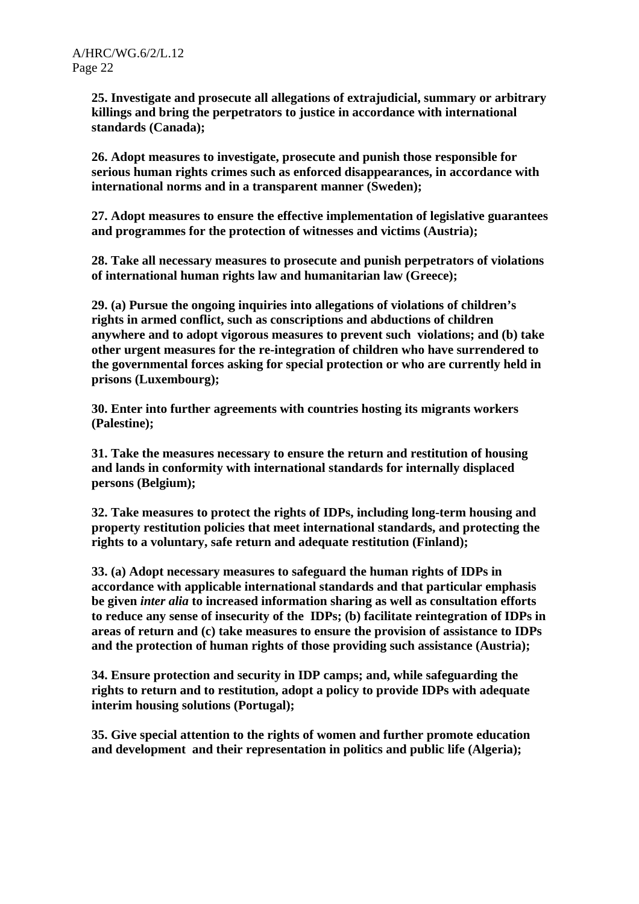**25. Investigate and prosecute all allegations of extrajudicial, summary or arbitrary killings and bring the perpetrators to justice in accordance with international standards (Canada);** 

**26. Adopt measures to investigate, prosecute and punish those responsible for serious human rights crimes such as enforced disappearances, in accordance with international norms and in a transparent manner (Sweden);** 

**27. Adopt measures to ensure the effective implementation of legislative guarantees and programmes for the protection of witnesses and victims (Austria);** 

**28. Take all necessary measures to prosecute and punish perpetrators of violations of international human rights law and humanitarian law (Greece);** 

**29. (a) Pursue the ongoing inquiries into allegations of violations of children's rights in armed conflict, such as conscriptions and abductions of children anywhere and to adopt vigorous measures to prevent such violations; and (b) take other urgent measures for the re-integration of children who have surrendered to the governmental forces asking for special protection or who are currently held in prisons (Luxembourg);** 

**30. Enter into further agreements with countries hosting its migrants workers (Palestine);** 

**31. Take the measures necessary to ensure the return and restitution of housing and lands in conformity with international standards for internally displaced persons (Belgium);** 

**32. Take measures to protect the rights of IDPs, including long-term housing and property restitution policies that meet international standards, and protecting the rights to a voluntary, safe return and adequate restitution (Finland);** 

**33. (a) Adopt necessary measures to safeguard the human rights of IDPs in accordance with applicable international standards and that particular emphasis be given** *inter alia* **to increased information sharing as well as consultation efforts to reduce any sense of insecurity of the IDPs; (b) facilitate reintegration of IDPs in areas of return and (c) take measures to ensure the provision of assistance to IDPs and the protection of human rights of those providing such assistance (Austria);** 

**34. Ensure protection and security in IDP camps; and, while safeguarding the rights to return and to restitution, adopt a policy to provide IDPs with adequate interim housing solutions (Portugal);** 

**35. Give special attention to the rights of women and further promote education and development and their representation in politics and public life (Algeria);**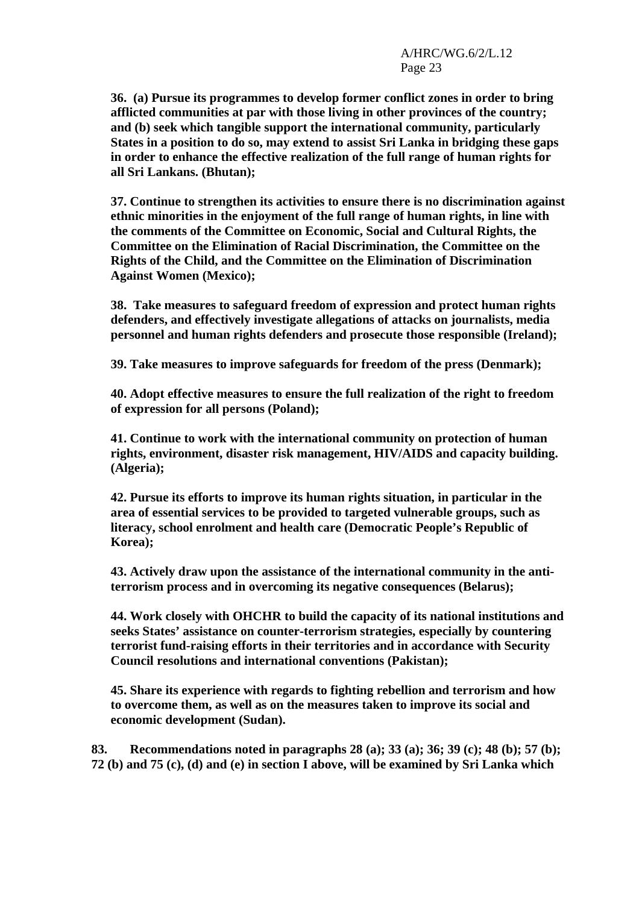**36. (a) Pursue its programmes to develop former conflict zones in order to bring afflicted communities at par with those living in other provinces of the country; and (b) seek which tangible support the international community, particularly States in a position to do so, may extend to assist Sri Lanka in bridging these gaps in order to enhance the effective realization of the full range of human rights for all Sri Lankans. (Bhutan);** 

**37. Continue to strengthen its activities to ensure there is no discrimination against ethnic minorities in the enjoyment of the full range of human rights, in line with the comments of the Committee on Economic, Social and Cultural Rights, the Committee on the Elimination of Racial Discrimination, the Committee on the Rights of the Child, and the Committee on the Elimination of Discrimination Against Women (Mexico);** 

**38. Take measures to safeguard freedom of expression and protect human rights defenders, and effectively investigate allegations of attacks on journalists, media personnel and human rights defenders and prosecute those responsible (Ireland);** 

**39. Take measures to improve safeguards for freedom of the press (Denmark);** 

**40. Adopt effective measures to ensure the full realization of the right to freedom of expression for all persons (Poland);** 

**41. Continue to work with the international community on protection of human rights, environment, disaster risk management, HIV/AIDS and capacity building. (Algeria);** 

**42. Pursue its efforts to improve its human rights situation, in particular in the area of essential services to be provided to targeted vulnerable groups, such as literacy, school enrolment and health care (Democratic People's Republic of Korea);** 

**43. Actively draw upon the assistance of the international community in the antiterrorism process and in overcoming its negative consequences (Belarus);** 

**44. Work closely with OHCHR to build the capacity of its national institutions and seeks States' assistance on counter-terrorism strategies, especially by countering terrorist fund-raising efforts in their territories and in accordance with Security Council resolutions and international conventions (Pakistan);** 

**45. Share its experience with regards to fighting rebellion and terrorism and how to overcome them, as well as on the measures taken to improve its social and economic development (Sudan).** 

**83. Recommendations noted in paragraphs 28 (a); 33 (a); 36; 39 (c); 48 (b); 57 (b); 72 (b) and 75 (c), (d) and (e) in section I above, will be examined by Sri Lanka which**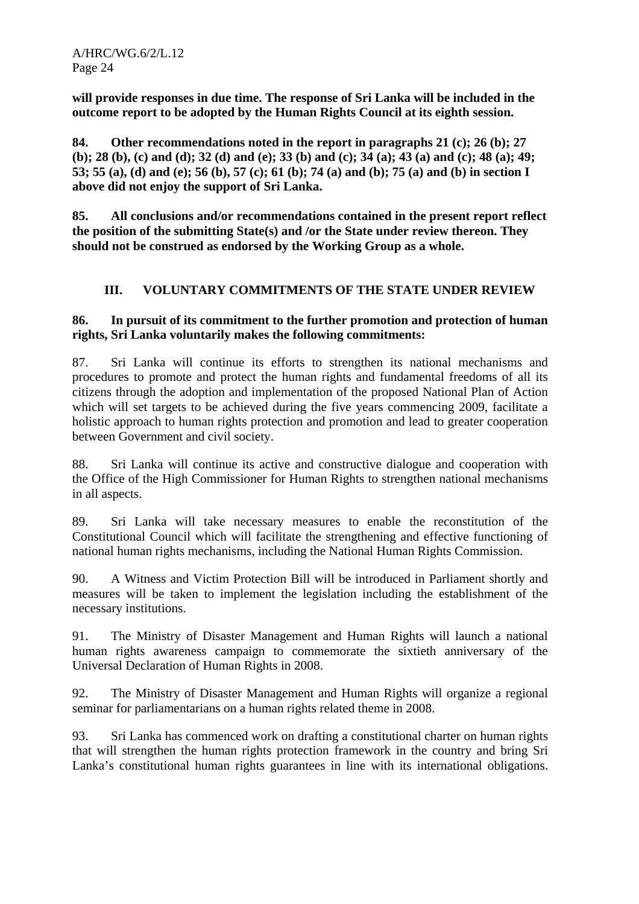**will provide responses in due time. The response of Sri Lanka will be included in the outcome report to be adopted by the Human Rights Council at its eighth session.** 

**84. Other recommendations noted in the report in paragraphs 21 (c); 26 (b); 27 (b); 28 (b), (c) and (d); 32 (d) and (e); 33 (b) and (c); 34 (a); 43 (a) and (c); 48 (a); 49; 53; 55 (a), (d) and (e); 56 (b), 57 (c); 61 (b); 74 (a) and (b); 75 (a) and (b) in section I above did not enjoy the support of Sri Lanka.** 

**85. All conclusions and/or recommendations contained in the present report reflect the position of the submitting State(s) and /or the State under review thereon. They should not be construed as endorsed by the Working Group as a whole.** 

# **III. VOLUNTARY COMMITMENTS OF THE STATE UNDER REVIEW**

#### **86. In pursuit of its commitment to the further promotion and protection of human rights, Sri Lanka voluntarily makes the following commitments:**

87. Sri Lanka will continue its efforts to strengthen its national mechanisms and procedures to promote and protect the human rights and fundamental freedoms of all its citizens through the adoption and implementation of the proposed National Plan of Action which will set targets to be achieved during the five years commencing 2009, facilitate a holistic approach to human rights protection and promotion and lead to greater cooperation between Government and civil society.

88. Sri Lanka will continue its active and constructive dialogue and cooperation with the Office of the High Commissioner for Human Rights to strengthen national mechanisms in all aspects.

89. Sri Lanka will take necessary measures to enable the reconstitution of the Constitutional Council which will facilitate the strengthening and effective functioning of national human rights mechanisms, including the National Human Rights Commission.

90. A Witness and Victim Protection Bill will be introduced in Parliament shortly and measures will be taken to implement the legislation including the establishment of the necessary institutions.

91. The Ministry of Disaster Management and Human Rights will launch a national human rights awareness campaign to commemorate the sixtieth anniversary of the Universal Declaration of Human Rights in 2008.

92. The Ministry of Disaster Management and Human Rights will organize a regional seminar for parliamentarians on a human rights related theme in 2008.

93. Sri Lanka has commenced work on drafting a constitutional charter on human rights that will strengthen the human rights protection framework in the country and bring Sri Lanka's constitutional human rights guarantees in line with its international obligations.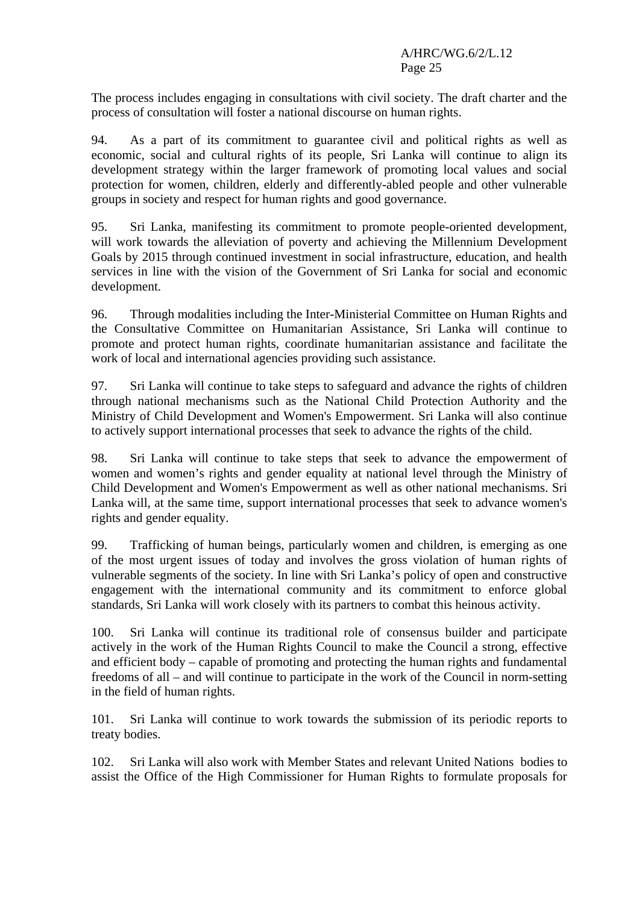The process includes engaging in consultations with civil society. The draft charter and the process of consultation will foster a national discourse on human rights.

94. As a part of its commitment to guarantee civil and political rights as well as economic, social and cultural rights of its people, Sri Lanka will continue to align its development strategy within the larger framework of promoting local values and social protection for women, children, elderly and differently-abled people and other vulnerable groups in society and respect for human rights and good governance.

95. Sri Lanka, manifesting its commitment to promote people-oriented development, will work towards the alleviation of poverty and achieving the Millennium Development Goals by 2015 through continued investment in social infrastructure, education, and health services in line with the vision of the Government of Sri Lanka for social and economic development.

96. Through modalities including the Inter-Ministerial Committee on Human Rights and the Consultative Committee on Humanitarian Assistance, Sri Lanka will continue to promote and protect human rights, coordinate humanitarian assistance and facilitate the work of local and international agencies providing such assistance.

97. Sri Lanka will continue to take steps to safeguard and advance the rights of children through national mechanisms such as the National Child Protection Authority and the Ministry of Child Development and Women's Empowerment. Sri Lanka will also continue to actively support international processes that seek to advance the rights of the child.

98. Sri Lanka will continue to take steps that seek to advance the empowerment of women and women's rights and gender equality at national level through the Ministry of Child Development and Women's Empowerment as well as other national mechanisms. Sri Lanka will, at the same time, support international processes that seek to advance women's rights and gender equality.

99. Trafficking of human beings, particularly women and children, is emerging as one of the most urgent issues of today and involves the gross violation of human rights of vulnerable segments of the society. In line with Sri Lanka's policy of open and constructive engagement with the international community and its commitment to enforce global standards, Sri Lanka will work closely with its partners to combat this heinous activity.

100. Sri Lanka will continue its traditional role of consensus builder and participate actively in the work of the Human Rights Council to make the Council a strong, effective and efficient body – capable of promoting and protecting the human rights and fundamental freedoms of all – and will continue to participate in the work of the Council in norm-setting in the field of human rights.

101. Sri Lanka will continue to work towards the submission of its periodic reports to treaty bodies.

102. Sri Lanka will also work with Member States and relevant United Nations bodies to assist the Office of the High Commissioner for Human Rights to formulate proposals for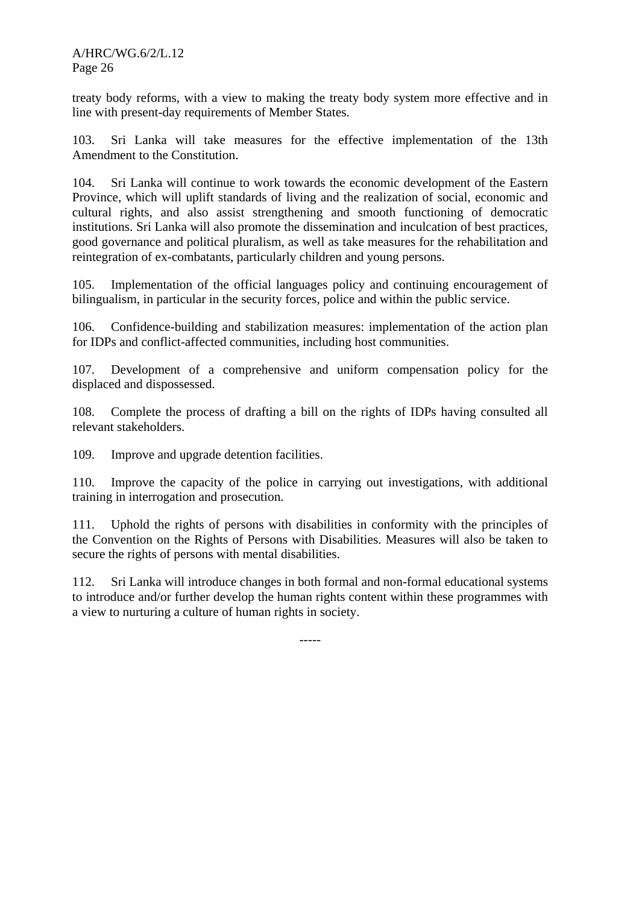treaty body reforms, with a view to making the treaty body system more effective and in line with present-day requirements of Member States.

103. Sri Lanka will take measures for the effective implementation of the 13th Amendment to the Constitution.

104. Sri Lanka will continue to work towards the economic development of the Eastern Province, which will uplift standards of living and the realization of social, economic and cultural rights, and also assist strengthening and smooth functioning of democratic institutions. Sri Lanka will also promote the dissemination and inculcation of best practices, good governance and political pluralism, as well as take measures for the rehabilitation and reintegration of ex-combatants, particularly children and young persons.

105. Implementation of the official languages policy and continuing encouragement of bilingualism, in particular in the security forces, police and within the public service.

106. Confidence-building and stabilization measures: implementation of the action plan for IDPs and conflict-affected communities, including host communities.

107. Development of a comprehensive and uniform compensation policy for the displaced and dispossessed.

108. Complete the process of drafting a bill on the rights of IDPs having consulted all relevant stakeholders.

109. Improve and upgrade detention facilities.

110. Improve the capacity of the police in carrying out investigations, with additional training in interrogation and prosecution.

111. Uphold the rights of persons with disabilities in conformity with the principles of the Convention on the Rights of Persons with Disabilities. Measures will also be taken to secure the rights of persons with mental disabilities.

112. Sri Lanka will introduce changes in both formal and non-formal educational systems to introduce and/or further develop the human rights content within these programmes with a view to nurturing a culture of human rights in society.

-----